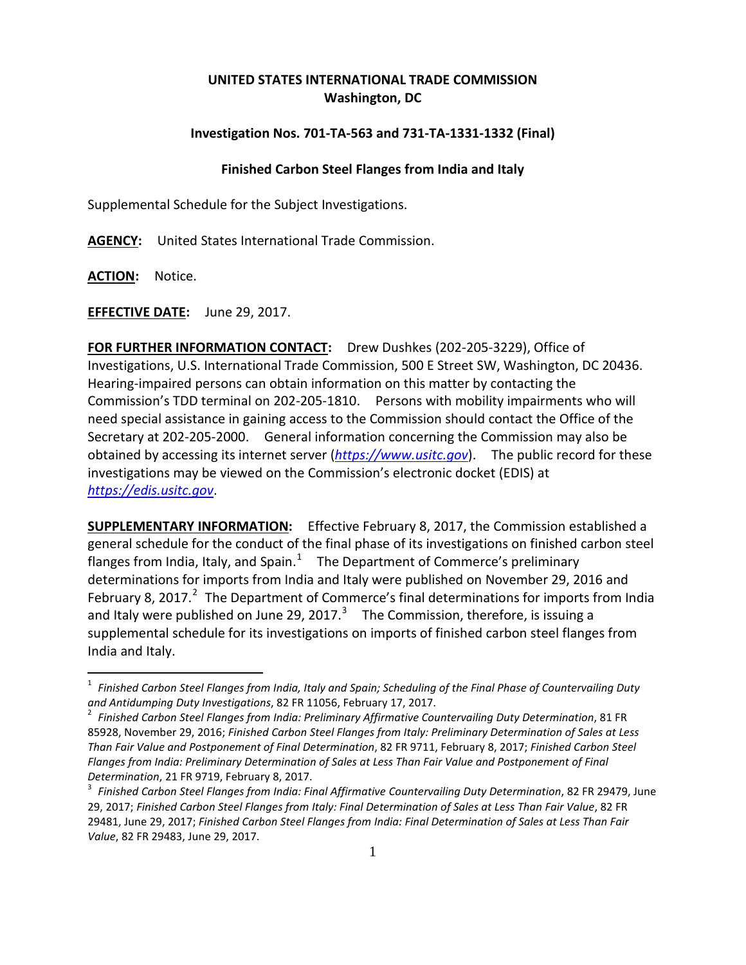## **UNITED STATES INTERNATIONAL TRADE COMMISSION Washington, DC**

## **Investigation Nos. 701-TA-563 and 731-TA-1331-1332 (Final)**

## **Finished Carbon Steel Flanges from India and Italy**

Supplemental Schedule for the Subject Investigations.

**AGENCY:** United States International Trade Commission.

**ACTION:** Notice.

**EFFECTIVE DATE:** June 29, 2017.

**FOR FURTHER INFORMATION CONTACT:** Drew Dushkes (202-205-3229), Office of Investigations, U.S. International Trade Commission, 500 E Street SW, Washington, DC 20436. Hearing-impaired persons can obtain information on this matter by contacting the Commission's TDD terminal on 202-205-1810. Persons with mobility impairments who will need special assistance in gaining access to the Commission should contact the Office of the Secretary at 202-205-2000. General information concerning the Commission may also be obtained by accessing its internet server (*[https://www.usitc.gov](https://www.usitc.gov/)*). The public record for these investigations may be viewed on the Commission's electronic docket (EDIS) at *[https://edis.usitc.gov](https://edis.usitc.gov/)*.

**SUPPLEMENTARY INFORMATION:** Effective February 8, 2017, the Commission established a general schedule for the conduct of the final phase of its investigations on finished carbon steel flanges from India, Italy, and Spain.<sup>[1](#page-0-0)</sup> The Department of Commerce's preliminary determinations for imports from India and Italy were published on November 29, 2016 and February 8, [2](#page-0-1)017.<sup>2</sup> The Department of Commerce's final determinations for imports from India and Italy were published on June 29, 2017.<sup>[3](#page-0-2)</sup> The Commission, therefore, is issuing a supplemental schedule for its investigations on imports of finished carbon steel flanges from India and Italy.

<span id="page-0-0"></span><sup>1</sup> *Finished Carbon Steel Flanges from India, Italy and Spain; Scheduling of the Final Phase of Countervailing Duty and Antidumping Duty Investigations*, 82 FR 11056, February 17, 2017. <sup>2</sup> *Finished Carbon Steel Flanges from India: Preliminary Affirmative Countervailing Duty Determination*, 81 FR

<span id="page-0-1"></span><sup>85928,</sup> November 29, 2016; *Finished Carbon Steel Flanges from Italy: Preliminary Determination of Sales at Less Than Fair Value and Postponement of Final Determination*, 82 FR 9711, February 8, 2017; *Finished Carbon Steel Flanges from India: Preliminary Determination of Sales at Less Than Fair Value and Postponement of Final Determination*, 21 FR 9719, February 8, 2017. <sup>3</sup> *Finished Carbon Steel Flanges from India: Final Affirmative Countervailing Duty Determination*, 82 FR 29479, June

<span id="page-0-2"></span><sup>29, 2017;</sup> *Finished Carbon Steel Flanges from Italy: Final Determination of Sales at Less Than Fair Value*, 82 FR 29481, June 29, 2017; *Finished Carbon Steel Flanges from India: Final Determination of Sales at Less Than Fair Value*, 82 FR 29483, June 29, 2017.